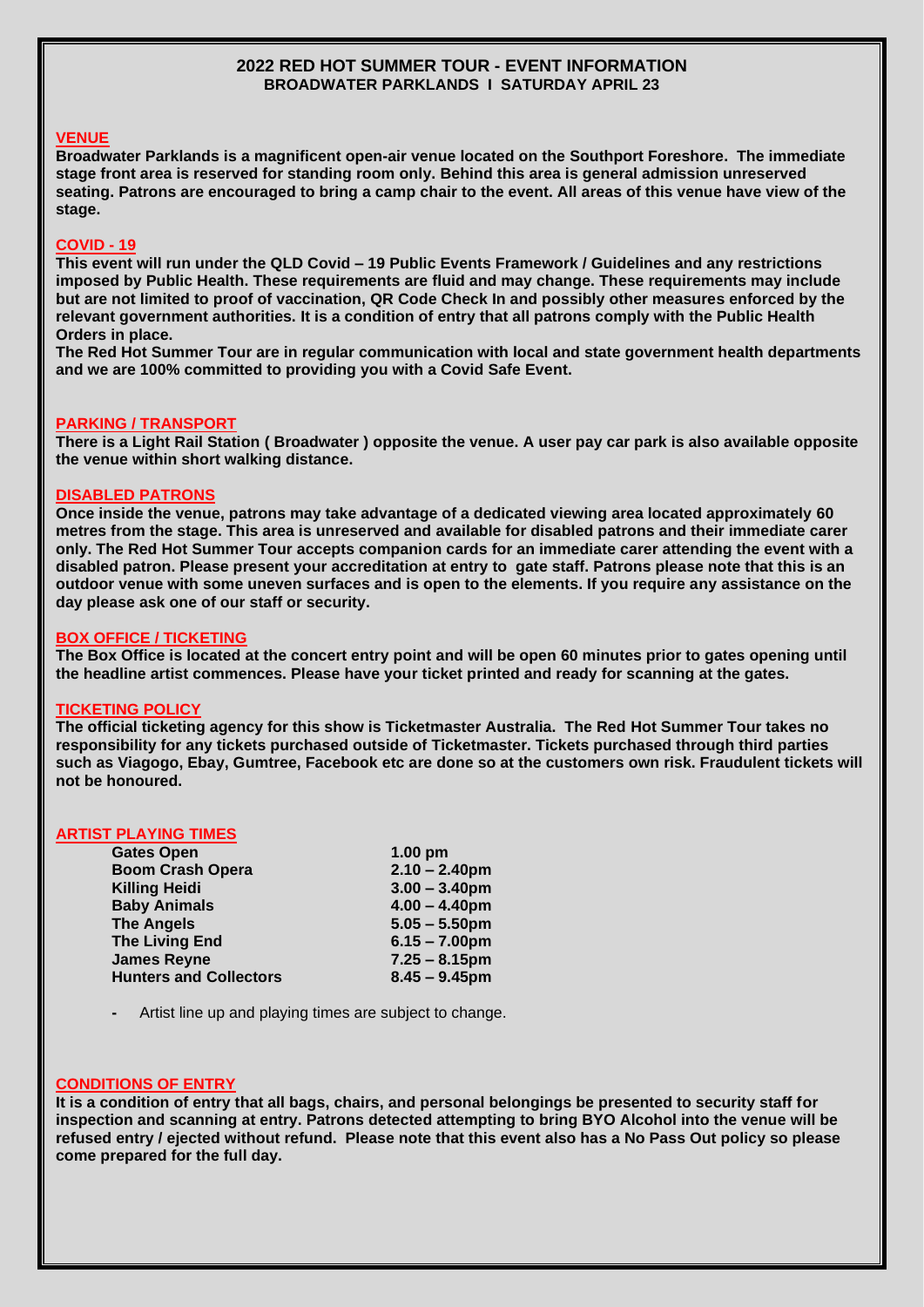### **2022 RED HOT SUMMER TOUR - EVENT INFORMATION BROADWATER PARKLANDS I SATURDAY APRIL 23**

## **VENUE**

**Broadwater Parklands is a magnificent open-air venue located on the Southport Foreshore. The immediate stage front area is reserved for standing room only. Behind this area is general admission unreserved seating. Patrons are encouraged to bring a camp chair to the event. All areas of this venue have view of the stage.** 

# **COVID - 19**

**This event will run under the QLD Covid – 19 Public Events Framework / Guidelines and any restrictions imposed by Public Health. These requirements are fluid and may change. These requirements may include but are not limited to proof of vaccination, QR Code Check In and possibly other measures enforced by the relevant government authorities. It is a condition of entry that all patrons comply with the Public Health Orders in place.** 

**The Red Hot Summer Tour are in regular communication with local and state government health departments and we are 100% committed to providing you with a Covid Safe Event.** 

#### **PARKING / TRANSPORT**

**There is a Light Rail Station ( Broadwater ) opposite the venue. A user pay car park is also available opposite the venue within short walking distance.**

#### **DISABLED PATRONS**

**Once inside the venue, patrons may take advantage of a dedicated viewing area located approximately 60 metres from the stage. This area is unreserved and available for disabled patrons and their immediate carer only. The Red Hot Summer Tour accepts companion cards for an immediate carer attending the event with a disabled patron. Please present your accreditation at entry to gate staff. Patrons please note that this is an outdoor venue with some uneven surfaces and is open to the elements. If you require any assistance on the day please ask one of our staff or security.**

#### **BOX OFFICE / TICKETING**

**The Box Office is located at the concert entry point and will be open 60 minutes prior to gates opening until the headline artist commences. Please have your ticket printed and ready for scanning at the gates.** 

#### **TICKETING POLICY**

**The official ticketing agency for this show is Ticketmaster Australia. The Red Hot Summer Tour takes no responsibility for any tickets purchased outside of Ticketmaster. Tickets purchased through third parties such as Viagogo, Ebay, Gumtree, Facebook etc are done so at the customers own risk. Fraudulent tickets will not be honoured.**

#### **ARTIST PLAYING TIMES**

| <b>Gates Open</b>             | $1.00$ pm        |
|-------------------------------|------------------|
| <b>Boom Crash Opera</b>       | $2.10 - 2.40$ pm |
| <b>Killing Heidi</b>          | $3.00 - 3.40$ pm |
| <b>Baby Animals</b>           | $4.00 - 4.40$ pm |
| <b>The Angels</b>             | $5.05 - 5.50$ pm |
| <b>The Living End</b>         | $6.15 - 7.00$ pm |
| <b>James Reyne</b>            | $7.25 - 8.15$ pm |
| <b>Hunters and Collectors</b> | $8.45 - 9.45$ pm |
|                               |                  |

**-** Artist line up and playing times are subject to change.

#### **CONDITIONS OF ENTRY**

**It is a condition of entry that all bags, chairs, and personal belongings be presented to security staff for inspection and scanning at entry. Patrons detected attempting to bring BYO Alcohol into the venue will be refused entry / ejected without refund. Please note that this event also has a No Pass Out policy so please come prepared for the full day.**